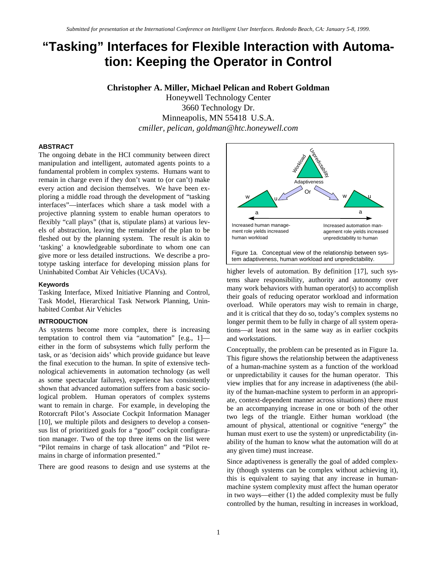# **"Tasking" Interfaces for Flexible Interaction with Automation: Keeping the Operator in Control**

## **Christopher A. Miller, Michael Pelican and Robert Goldman**

Honeywell Technology Center 3660 Technology Dr. Minneapolis, MN 55418 U.S.A. *cmiller, pelican, goldman@htc.honeywell.com*

#### **ABSTRACT**

The ongoing debate in the HCI community between direct manipulation and intelligent, automated agents points to a fundamental problem in complex systems. Humans want to remain in charge even if they don't want to (or can't) make every action and decision themselves. We have been exploring a middle road through the development of "tasking interfaces"—interfaces which share a task model with a projective planning system to enable human operators to flexibly "call plays" (that is, stipulate plans) at various levels of abstraction, leaving the remainder of the plan to be fleshed out by the planning system. The result is akin to 'tasking' a knowledgeable subordinate to whom one can give more or less detailed instructions. We describe a prototype tasking interface for developing mission plans for Uninhabited Combat Air Vehicles (UCAVs).

#### **Keywords**

Tasking Interface, Mixed Initiative Planning and Control, Task Model, Hierarchical Task Network Planning, Uninhabited Combat Air Vehicles

#### **INTRODUCTION**

As systems become more complex, there is increasing temptation to control them via "automation" [e.g., 1] either in the form of subsystems which fully perform the task, or as 'decision aids' which provide guidance but leave the final execution to the human. In spite of extensive technological achievements in automation technology (as well as some spectacular failures), experience has consistently shown that advanced automation suffers from a basic sociological problem. Human operators of complex systems want to remain in charge. For example, in developing the Rotorcraft Pilot's Associate Cockpit Information Manager [10], we multiple pilots and designers to develop a consensus list of prioritized goals for a "good" cockpit configuration manager. Two of the top three items on the list were "Pilot remains in charge of task allocation" and "Pilot remains in charge of information presented."

There are good reasons to design and use systems at the



higher levels of automation. By definition [17], such systems share responsibility, authority and autonomy over many work behaviors with human operator(s) to accomplish their goals of reducing operator workload and information overload. While operators may wish to remain in charge, and it is critical that they do so, today's complex systems no longer permit them to be fully in charge of all system operations—at least not in the same way as in earlier cockpits and workstations.

Conceptually, the problem can be presented as in Figure 1a. This figure shows the relationship between the adaptiveness of a human-machine system as a function of the workload or unpredictability it causes for the human operator. This view implies that for any increase in adaptiveness (the ability of the human-machine system to perform in an appropriate, context-dependent manner across situations) there must be an accompanying increase in one or both of the other two legs of the triangle. Either human workload (the amount of physical, attentional or cognitive "energy" the human must exert to use the system) or unpredictability (inability of the human to know what the automation will do at any given time) must increase.

Since adaptiveness is generally the goal of added complexity (though systems can be complex without achieving it), this is equivalent to saying that any increase in humanmachine system complexity must affect the human operator in two ways—either (1) the added complexity must be fully controlled by the human, resulting in increases in workload,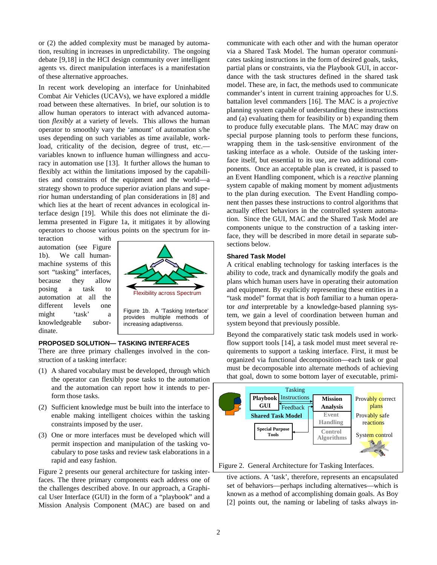or (2) the added complexity must be managed by automation, resulting in increases in unpredictability. The ongoing debate [9,18] in the HCI design community over intelligent agents vs. direct manipulation interfaces is a manifestation of these alternative approaches.

In recent work developing an interface for Uninhabited Combat Air Vehicles (UCAVs), we have explored a middle road between these alternatives. In brief, our solution is to allow human operators to interact with advanced automation *flexibly* at a variety of levels. This allows the human operator to smoothly vary the 'amount' of automation s/he uses depending on such variables as time available, workload, criticality of the decision, degree of trust, etc. variables known to influence human willingness and accuracy in automation use [13]. It further allows the human to flexibly act within the limitations imposed by the capabilities and constraints of the equipment and the world—a strategy shown to produce superior aviation plans and superior human understanding of plan considerations in [8] and which lies at the heart of recent advances in ecological interface design [19]. While this does not eliminate the dilemma presented in Figure 1a, it mitigates it by allowing operators to choose various points on the spectrum for in-

teraction with automation (see Figure 1b). We call humanmachine systems of this sort "tasking" interfaces, because they allow posing a task to automation at all the different levels one might 'task' a knowledgeable subordinate.



## **PROPOSED SOLUTION— TASKING INTERFACES**

There are three primary challenges involved in the construction of a tasking interface:

- (1) A shared vocabulary must be developed, through which the operator can flexibly pose tasks to the automation and the automation can report how it intends to perform those tasks.
- (2) Sufficient knowledge must be built into the interface to enable making intelligent choices within the tasking constraints imposed by the user.
- (3) One or more interfaces must be developed which will permit inspection and manipulation of the tasking vocabulary to pose tasks and review task elaborations in a rapid and easy fashion.

Figure 2 presents our general architecture for tasking interfaces. The three primary components each address one of the challenges described above. In our approach, a Graphical User Interface (GUI) in the form of a "playbook" and a Mission Analysis Component (MAC) are based on and communicate with each other and with the human operator via a Shared Task Model. The human operator communicates tasking instructions in the form of desired goals, tasks, partial plans or constraints, via the Playbook GUI, in accordance with the task structures defined in the shared task model. These are, in fact, the methods used to communicate commander's intent in current training approaches for U.S. battalion level commanders [16]. The MAC is a *projective* planning system capable of understanding these instructions and (a) evaluating them for feasibility or b) expanding them to produce fully executable plans. The MAC may draw on special purpose planning tools to perform these funcions, wrapping them in the task-sensitive environment of the tasking interface as a whole. Outside of the tasking interface itself, but essential to its use, are two additional components. Once an acceptable plan is created, it is passed to an Event Handling component, which is a *reactive* planning system capable of making moment by moment adjustments to the plan during execution. The Event Handling component then passes these instructions to control algorithms that actually effect behaviors in the controlled system automation. Since the GUI, MAC and the Shared Task Model are components unique to the construction of a tasking interface, they will be described in more detail in separate subsections below.

#### **Shared Task Model**

A critical enabling technology for tasking interfaces is the ability to code, track and dynamically modify the goals and plans which human users have in operating their automation and equipment. By explicitly representing these entities in a "task model" format that is *both* familiar to a human operator *and* interpretable by a knowledge-based planning system, we gain a level of coordination between human and system beyond that previously possible.

Beyond the comparatively static task models used in workflow support tools [14], a task model must meet several requirements to support a tasking interface. First, it must be organized via functional decomposition—each task or goal must be decomposable into alternate methods of achieving that goal, down to some bottom layer of executable, primi-



Figure 2. General Architecture for Tasking Interfaces.

tive actions. A 'task', therefore, represents an encapsulated set of behaviors—perhaps including alternatives—which is known as a method of accomplishing domain goals. As Boy [2] points out, the naming or labeling of tasks always in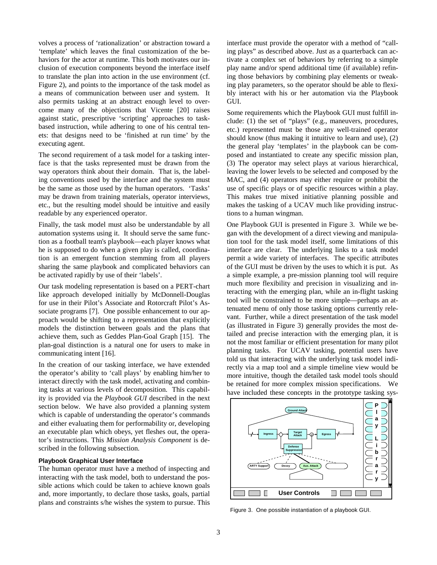volves a process of 'rationalization' or abstraction toward a 'template' which leaves the final customization of the behaviors for the actor at runtime. This both motivates our inclusion of execution components beyond the interface itself to translate the plan into action in the use environment (cf. Figure 2), and points to the importance of the task model as a means of communication between user and system. It also permits tasking at an abstract enough level to overcome many of the objections that Vicente [20] raises against static, prescriptive 'scripting' approaches to taskbased instruction, while adhering to one of his central tenets: that designs need to be 'finished at run time' by the executing agent.

The second requirement of a task model for a tasking interface is that the tasks represented must be drawn from the way operators think about their domain. That is, the labeling conventions used by the interface and the system must be the same as those used by the human operators. 'Tasks' may be drawn from training materials, operator interviews, etc., but the resulting model should be intuitive and easily readable by any experienced operator.

Finally, the task model must also be understandable by all automation systems using it. It should serve the same function as a football team's playbook—each player knows what he is supposed to do when a given play is called, coordination is an emergent function stemming from all players sharing the same playbook and complicated behaviors can be activated rapidly by use of their 'labels'.

Our task modeling representation is based on a PERT-chart like approach developed initially by McDonnell-Douglas for use in their Pilot's Associate and Rotorcraft Pilot's Associate programs [7]. One possible enhancement to our approach would be shifting to a representation that explicitly models the distinction between goals and the plans that achieve them, such as Geddes Plan-Goal Graph [15]. The plan-goal distinction is a natural one for users to make in communicating intent [16].

In the creation of our tasking interface, we have extended the operator's ability to 'call plays' by enabling him/her to interact directly with the task model, activating and combining tasks at various levels of decomposition. This capability is provided via the *Playbook GUI* described in the next section below. We have also provided a planning system which is capable of understanding the operator's commands and either evaluating them for performability or, developing an executable plan which obeys, yet fleshes out, the operator's instructions. This *Mission Analysis Component* is described in the following subsection.

#### **Playbook Graphical User Interface**

The human operator must have a method of inspecting and interacting with the task model, both to understand the possible actions which could be taken to achieve known goals and, more importantly, to declare those tasks, goals, partial plans and constraints s/he wishes the system to pursue. This interface must provide the operator with a method of "calling plays" as described above. Just as a quarterback can activate a complex set of behaviors by referring to a simple play name and/or spend additional time (if available) refining those behaviors by combining play elements or tweaking play parameters, so the operator should be able to flexibly interact with his or her automation via the Playbook GUI.

Some requirements which the Playbook GUI must fulfill include: (1) the set of "plays" (e.g., maneuvers, procedures, etc.) represented must be those any well-trained operator should know (thus making it intuitive to learn and use), (2) the general play 'templates' in the playbook can be composed and instantiated to create any specific mission plan, (3) The operator may select plays at various hierarchical, leaving the lower levels to be selected and composed by the MAC, and (4) operators may either require or prohibit the use of specific plays or of specific resources within a play. This makes true mixed initiative planning possible and makes the tasking of a UCAV much like providing instructions to a human wingman.

One Playbook GUI is presented in Figure 3. While we began with the development of a direct viewing and manipulation tool for the task model itself, some limitations of this interface are clear. The underlying links to a task model permit a wide variety of interfaces. The specific attributes of the GUI must be driven by the uses to which it is put. As a simple example, a pre-mission planning tool will require much more flexibility and precision in visualizing and interacting with the emerging plan, while an in-flight tasking tool will be constrained to be more simple—perhaps an attenuated menu of only those tasking options currently relevant. Further, while a direct presentation of the task model (as illustrated in Figure 3) generally provides the most detailed and precise interaction with the emerging plan, it is not the most familiar or efficient presentation for many pilot planning tasks. For UCAV tasking, potential users have told us that interacting with the underlying task model indirectly via a map tool and a simple timeline view would be more intuitive, though the detailed task model tools should be retained for more complex mission specifications. We have included these concepts in the prototype tasking sys-



Figure 3. One possible instantiation of a playbook GUI.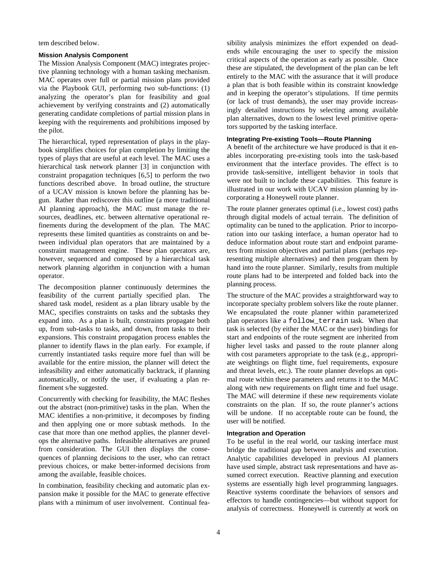tem described below.

## **Mission Analysis Component**

The Mission Analysis Component (MAC) integrates projective planning technology with a human tasking mechanism. MAC operates over full or partial mission plans provided via the Playbook GUI, performing two sub-functions: (1) analyzing the operator's plan for feasibility and goal achievement by verifying constraints and (2) automatically generating candidate completions of partial mission plans in keeping with the requirements and prohibitions imposed by the pilot.

The hierarchical, typed representation of plays in the playbook simplifies choices for plan completion by limiting the types of plays that are useful at each level. The MAC uses a hierarchical task network planner [3] in conjunction with constraint propagation techniques [6,5] to perform the two functions described above. In broad outline, the structure of a UCAV mission is known before the planning has begun. Rather than rediscover this outline (a more traditional AI planning approach), the MAC must manage the resources, deadlines, etc. between alternative operational refinements during the development of the plan. The MAC represents these limited quantities as constraints on and between individual plan operators that are maintained by a constraint management engine. These plan operators are, however, sequenced and composed by a hierarchical task network planning algorithm in conjunction with a human operator.

The decomposition planner continuously determines the feasibility of the current partially specified plan. The shared task model, resident as a plan library usable by the MAC, specifies constraints on tasks and the subtasks they expand into. As a plan is built, constraints propagate both up, from sub-tasks to tasks, and down, from tasks to their expansions. This constraint propagation process enables the planner to identify flaws in the plan early. For example, if currently instantiated tasks require more fuel than will be available for the entire mission, the planner will detect the infeasibility and either automatically backtrack, if planning automatically, or notify the user, if evaluating a plan refinement s/he suggested.

Concurrently with checking for feasibility, the MAC fleshes out the abstract (non-primitive) tasks in the plan. When the MAC identifies a non-primitive, it decomposes by finding and then applying one or more subtask methods. In the case that more than one method applies, the planner develops the alternative paths. Infeasible alternatives are pruned from consideration. The GUI then displays the consequences of planning decisions to the user, who can retract previous choices, or make better-informed decisions from among the available, feasible choices.

In combination, feasibility checking and automatic plan expansion make it possible for the MAC to generate effective plans with a minimum of user involvement. Continual feasibility analysis minimizes the effort expended on deadends while encouraging the user to specify the mission critical aspects of the operation as early as possible. Once these are stipulated, the development of the plan can be left entirely to the MAC with the assurance that it will produce a plan that is both feasible within its constraint knowledge and in keeping the operator's stipulations. If time permits (or lack of trust demands), the user may provide increasingly detailed instructions by selecting among available plan alternatives, down to the lowest level primitive operators supported by the tasking interface.

## **Integrating Pre-existing Tools—Route Planning**

A benefit of the architecture we have produced is that it enables incorporating pre-existing tools into the task-based environment that the interface provides. The effect is to provide task-sensitive, intelligent behavior in tools that were not built to include these capabilities. This feature is illustrated in our work with UCAV mission planning by incorporating a Honeywell route planner.

The route planner generates optimal (i.e., lowest cost) paths through digital models of actual terrain. The definition of optimality can be tuned to the application. Prior to incorporation into our tasking interface, a human operator had to deduce information about route start and endpoint parameters from mission objectives and partial plans (perhaps representing multiple alternatives) and then program them by hand into the route planner. Similarly, results from multiple route plans had to be interpreted and folded back into the planning process.

The structure of the MAC provides a straightforward way to incorporate specialty problem solvers like the route planner. We encapsulated the route planner within parameterized plan operators like a follow\_terrain task. When that task is selected (by either the MAC or the user) bindings for start and endpoints of the route segment are inherited from higher level tasks and passed to the route planner along with cost parameters appropriate to the task (e.g., appropriate weightings on flight time, fuel requirements, exposure and threat levels, etc.). The route planner develops an optimal route within these parameters and returns it to the MAC along with new requirements on flight time and fuel usage. The MAC will determine if these new requirements violate constraints on the plan. If so, the route planner's actions will be undone. If no acceptable route can be found, the user will be notified.

#### **Integration and Operation**

To be useful in the real world, our tasking interface must bridge the traditional gap between analysis and execution. Analytic capabilities developed in previous AI planners have used simple, abstract task representations and have assumed correct execution. Reactive planning and execution systems are essentially high level programming languages. Reactive systems coordinate the behaviors of sensors and effectors to handle contingencies—but without support for analysis of correctness. Honeywell is currently at work on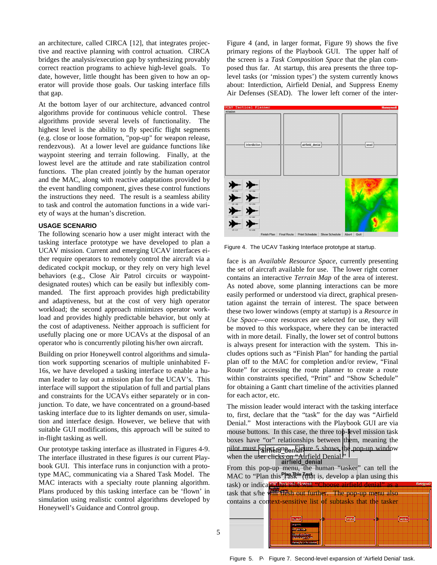an architecture, called CIRCA [12], that integrates projective and reactive planning with control actuation. CIRCA bridges the analysis/execution gap by synthesizing provably correct reaction programs to achieve high-level goals. To date, however, little thought has been given to how an operator will provide those goals. Our tasking interface fills that gap.

At the bottom layer of our architecture, advanced control algorithms provide for continuous vehicle control. These algorithms provide several levels of functionality. The highest level is the ability to fly specific flight segments (e.g. close or loose formation, "pop-up" for weapon release, rendezvous). At a lower level are guidance functions like waypoint steering and terrain following. Finally, at the lowest level are the attitude and rate stabilization control functions. The plan created jointly by the human operator and the MAC, along with reactive adaptations provided by the event handling component, gives these control functions the instructions they need. The result is a seamless ability to task and control the automation functions in a wide variety of ways at the human's discretion.

#### **USAGE SCENARIO**

The following scenario how a user might interact with the tasking interface prototype we have developed to plan a UCAV mission. Current and emerging UCAV interfaces either require operators to remotely control the aircraft via a dedicated cockpit mockup, or they rely on very high level behaviors (e.g., Close Air Patrol circuits or waypointdesignated routes) which can be easily but inflexibly commanded. The first approach provides high predictability and adaptiveness, but at the cost of very high operator workload; the second approach minimizes operator workload and provides highly predictable behavior, but only at the cost of adaptiveness. Neither approach is sufficient for usefully placing one or more UCAVs at the disposal of an operator who is concurrently piloting his/her own aircraft.

Building on prior Honeywell control algorithms and simulation work supporting scenarios of multiple uninhabited F-16s, we have developed a tasking interface to enable a human leader to lay out a mission plan for the UCAV's. This interface will support the stipulation of full and partial plans and constraints for the UCAVs either separately or in conjunction. To date, we have concentrated on a ground-based tasking interface due to its lighter demands on user, simulation and interface design. However, we believe that with suitable GUI modifications, this approach will be suited to in-flight tasking as well.

Our prototype tasking interface as illustrated in Figures 4-9. The interface illustrated in these figures *is* our current Playbook GUI. This interface runs in conjunction with a prototype MAC, communicating via a Shared Task Model. The MAC interacts with a specialty route planning algorithm. Plans produced by this tasking interface can be 'flown' in simulation using realistic control algorithms developed by Honeywell's Guidance and Control group.

Figure 4 (and, in larger format, Figure 9) shows the five primary regions of the Playbook GUI. The upper half of the screen is a *Task Composition Space* that the plan composed thus far. At startup, this area presents the three toplevel tasks (or 'mission types') the system currently knows about: Interdiction, Airfield Denial, and Suppress Enemy Air Defenses (SEAD). The lower left corner of the inter-



Figure 4. The UCAV Tasking Interface prototype at startup.

face is an *Available Resource Space*, currently presenting the set of aircraft available for use. The lower right corner contains an interactive *Terrain Map* of the area of interest. As noted above, some planning interactions can be more easily performed or understood via direct, graphical presentation against the terrain of interest. The space between these two lower windows (empty at startup) is a *Resource in Use Space*—once resources are selected for use, they will be moved to this workspace, where they can be interacted with in more detail. Finally, the lower set of control buttons is always present for interaction with the system. This includes options such as "Finish Plan" for handing the partial plan off to the MAC for completion and/or review, "Final Route" for accessing the route planner to create a route within constraints specified, "Print" and "Show Schedule" for obtaining a Gantt chart timeline of the activities planned for each actor, etc.

The mission leader would interact with the tasking interface to, first, declare that the "task" for the day was "Airfield Denial." Most interactions with the Playbook GUI are via mouse buttons. In this case, the three top-level mission task boxes have "or" relationships between them, meaning the pilot must selected one on Eigure 5 shows the pop-up window when the user clicks on "Airfield Denial."

From this pop-up menu, the human "tasker" can tell the MAC to "Plan this  $\frac{\text{Plan\_This}}{\text{ask}}$  (that is, develop a plan using this task) or indicate that s/he will "Choose airfield denial" as task that s/he will flesh out further. The pop-up menu also contains a context-sensitive list of subtasks that the tasker strike egress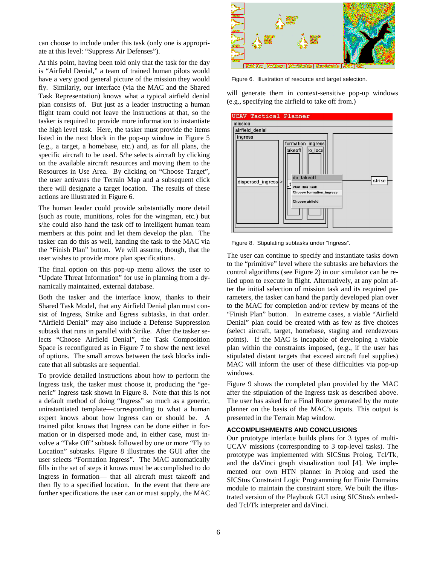can choose to include under this task (only one is appropriate at this level: "Suppress Air Defenses").

At this point, having been told only that the task for the day is "Airfield Denial," a team of trained human pilots would have a very good general picture of the mission they would fly. Similarly, our interface (via the MAC and the Shared Task Representation) knows what a typical airfield denial plan consists of. But just as a leader instructing a human flight team could not leave the instructions at that, so the tasker is required to provide more information to instantiate the high level task. Here, the tasker must provide the items listed in the next block in the pop-up window in Figure 5 (e.g., a target, a homebase, etc.) and, as for all plans, the specific aircraft to be used. S/he selects aircraft by clicking on the available aircraft resources and moving them to the Resources in Use Area. By clicking on "Choose Target", the user activates the Terrain Map and a subsequent click there will designate a target location. The results of these actions are illustrated in Figure 6.

The human leader could provide substantially more detail (such as route, munitions, roles for the wingman, etc.) but s/he could also hand the task off to intelligent human team members at this point and let them develop the plan. The tasker can do this as well, handing the task to the MAC via the "Finish Plan" button. We will assume, though, that the user wishes to provide more plan specifications.

The final option on this pop-up menu allows the user to "Update Threat Information" for use in planning from a dynamically maintained, external database.

Both the tasker and the interface know, thanks to their Shared Task Model, that any Airfield Denial plan must consist of Ingress, Strike and Egress subtasks, in that order. "Airfield Denial" may also include a Defense Suppression subtask that runs in parallel with Strike. After the tasker selects "Choose Airfield Denial", the Task Composition Space is reconfigured as in Figure 7 to show the next level of options. The small arrows between the task blocks indicate that all subtasks are sequential.

To provide detailed instructions about how to perform the Ingress task, the tasker must choose it, producing the "generic" Ingress task shown in Figure 8. Note that this is not a default method of doing "Ingress" so much as a generic, uninstantiated template—corresponding to what a human expert knows about how Ingress can or should be. A trained pilot knows that Ingress can be done either in formation or in dispersed mode and, in either case, must involve a "Take Off" subtask followed by one or more "Fly to Location" subtasks. Figure 8 illustrates the GUI after the user selects "Formation Ingress". The MAC automatically fills in the set of steps it knows must be accomplished to do Ingress in formation— that all aircraft must takeoff and then fly to a specified location. In the event that there are further specifications the user can or must supply, the MAC



Figure 6. Illustration of resource and target selection.

will generate them in context-sensitive pop-up windows (e.g., specifying the airfield to take off from.)



Figure 8. Stipulating subtasks under "Ingress".

The user can continue to specify and instantiate tasks down to the "primitive" level where the subtasks are behaviors the control algorithms (see Figure 2) in our simulator can be relied upon to execute in flight. Alternatively, at any point after the initial selection of mission task and its required parameters, the tasker can hand the partly developed plan over to the MAC for completion and/or review by means of the "Finish Plan" button. In extreme cases, a viable "Airfield Denial" plan could be created with as few as five choices (select aircraft, target, homebase, staging and rendezvous points). If the MAC is incapable of developing a viable plan within the constraints imposed, (e.g., if the user has stipulated distant targets that exceed aircraft fuel supplies) MAC will inform the user of these difficulties via pop-up windows.

Figure 9 shows the completed plan provided by the MAC after the stipulation of the Ingress task as described above. The user has asked for a Final Route generated by the route planner on the basis of the MAC's inputs. This output is presented in the Terrain Map window.

#### **ACCOMPLISHMENTS AND CONCLUSIONS**

Our prototype interface builds plans for 3 types of multi-UCAV missions (corresponding to 3 top-level tasks). The prototype was implemented with SICStus Prolog, Tcl/Tk, and the daVinci graph visualization tool [4]. We implemented our own HTN planner in Prolog and used the SICStus Constraint Logic Programming for Finite Domains module to maintain the constraint store. We built the illustrated version of the Playbook GUI using SICStus's embedded Tcl/Tk interpreter and daVinci.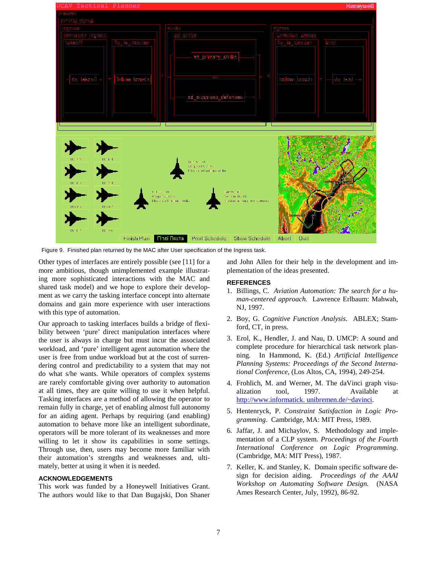

Figure 9. Finished plan returned by the MAC after User specification of the Ingress task.

Other types of interfaces are entirely possible (see [11] for a more ambitious, though unimplemented example illustrating more sophisticated interactions with the MAC and shared task model) and we hope to explore their development as we carry the tasking interface concept into alternate domains and gain more experience with user interactions with this type of automation.

Our approach to tasking interfaces builds a bridge of flexibility between 'pure' direct manipulation interfaces where the user is always in charge but must incur the associated workload, and 'pure' intelligent agent automation where the user is free from undue workload but at the cost of surrendering control and predictability to a system that may not do what s/he wants. While operators of complex systems are rarely comfortable giving over authority to automation at all times, they are quite willing to use it when helpful. Tasking interfaces are a method of allowing the operator to remain fully in charge, yet of enabling almost full autonomy for an aiding agent. Perhaps by requiring (and enabling) automation to behave more like an intelligent subordinate, operators will be more tolerant of its weaknesses and more willing to let it show its capabilities in some settings. Through use, then, users may become more familiar with their automation's strengths and weaknesses and, ultimately, better at using it when it is needed.

#### **ACKNOWLEDGEMENTS**

This work was funded by a Honeywell Initiatives Grant. The authors would like to that Dan Bugajski, Don Shaner

and John Allen for their help in the development and implementation of the ideas presented.

## **REFERENCES**

- 1. Billings, C. *Aviation Automation: The search for a human-centered approach.* Lawrence Erlbaum: Mahwah, NJ, 1997.
- 2. Boy, G. *Cognitive Function Analysis*. ABLEX; Stamford, CT, in press.
- 3. Erol, K., Hendler, J. and Nau, D. UMCP: A sound and complete procedure for hierarchical task network planning. In Hammond, K. (Ed.) *Artificial Intelligence Planning Systems: Proceedings of the Second International Conference*, (Los Altos, CA, 1994), 249-254.
- 4. Frohlich, M. and Werner, M. The daVinci graph visualization tool, 1997. Available at http://www.informatick. unibremen.de/~davinci.
- 5. Hentenryck, P. *Constraint Satisfaction in Logic Programming*. Cambridge, MA: MIT Press, 1989.
- 6. Jaffar, J. and Michaylov, S. Methodology and implementation of a CLP system. *Proceedings of the Fourth International Conference on Logic Programming*. (Cambridge, MA: MIT Press), 1987.
- 7. Keller, K. and Stanley, K. Domain specific software design for decision aiding. *Proceedings of the AAAI Workshop on Automating Software Design.* (NASA Ames Research Center, July, 1992), 86-92.